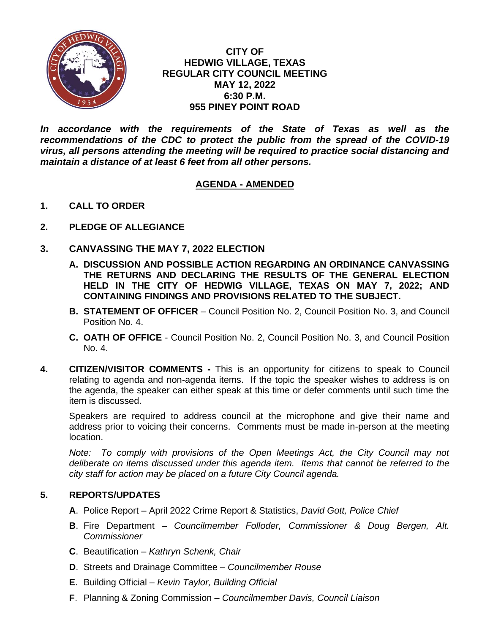

## **CITY OF HEDWIG VILLAGE, TEXAS REGULAR CITY COUNCIL MEETING MAY 12, 2022 6:30 P.M. 955 PINEY POINT ROAD**

In accordance with the requirements of the State of Texas as well as the *recommendations of the CDC to protect the public from the spread of the COVID-19 virus, all persons attending the meeting will be required to practice social distancing and maintain a distance of at least 6 feet from all other persons.*

# **AGENDA - AMENDED**

- **1. CALL TO ORDER**
- **2. PLEDGE OF ALLEGIANCE**
- **3. CANVASSING THE MAY 7, 2022 ELECTION**
	- **A. DISCUSSION AND POSSIBLE ACTION REGARDING AN ORDINANCE CANVASSING THE RETURNS AND DECLARING THE RESULTS OF THE GENERAL ELECTION HELD IN THE CITY OF HEDWIG VILLAGE, TEXAS ON MAY 7, 2022; AND CONTAINING FINDINGS AND PROVISIONS RELATED TO THE SUBJECT.**
	- **B. STATEMENT OF OFFICER** Council Position No. 2, Council Position No. 3, and Council Position No. 4.
	- **C. OATH OF OFFICE** Council Position No. 2, Council Position No. 3, and Council Position No. 4.
- **4. CITIZEN/VISITOR COMMENTS -** This is an opportunity for citizens to speak to Council relating to agenda and non-agenda items. If the topic the speaker wishes to address is on the agenda, the speaker can either speak at this time or defer comments until such time the item is discussed.

Speakers are required to address council at the microphone and give their name and address prior to voicing their concerns. Comments must be made in-person at the meeting location.

*Note: To comply with provisions of the Open Meetings Act, the City Council may not deliberate on items discussed under this agenda item. Items that cannot be referred to the city staff for action may be placed on a future City Council agenda.*

#### **5. REPORTS/UPDATES**

- **A**. Police Report April 2022 Crime Report & Statistics, *David Gott, Police Chief*
- **B**. Fire Department *Councilmember Folloder, Commissioner & Doug Bergen, Alt. Commissioner*
- **C**. Beautification *Kathryn Schenk, Chair*
- **D**. Streets and Drainage Committee *Councilmember Rouse*
- **E**. Building Official *Kevin Taylor, Building Official*
- **F**. Planning & Zoning Commission *Councilmember Davis, Council Liaison*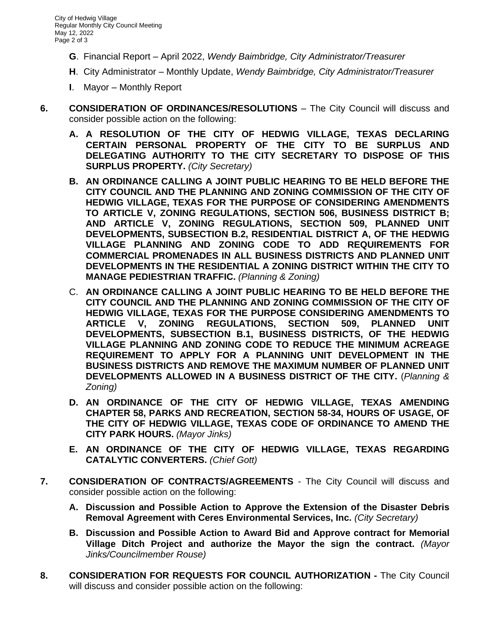- **G**. Financial Report April 2022, *Wendy Baimbridge, City Administrator/Treasurer*
- **H**. City Administrator Monthly Update, *Wendy Baimbridge, City Administrator/Treasurer*
- **I**. Mayor Monthly Report
- **6. CONSIDERATION OF ORDINANCES/RESOLUTIONS** The City Council will discuss and consider possible action on the following:
	- **A. A RESOLUTION OF THE CITY OF HEDWIG VILLAGE, TEXAS DECLARING CERTAIN PERSONAL PROPERTY OF THE CITY TO BE SURPLUS AND DELEGATING AUTHORITY TO THE CITY SECRETARY TO DISPOSE OF THIS SURPLUS PROPERTY.** *(City Secretary)*
	- **B. AN ORDINANCE CALLING A JOINT PUBLIC HEARING TO BE HELD BEFORE THE CITY COUNCIL AND THE PLANNING AND ZONING COMMISSION OF THE CITY OF HEDWIG VILLAGE, TEXAS FOR THE PURPOSE OF CONSIDERING AMENDMENTS TO ARTICLE V, ZONING REGULATIONS, SECTION 506, BUSINESS DISTRICT B; AND ARTICLE V, ZONING REGULATIONS, SECTION 509, PLANNED UNIT DEVELOPMENTS, SUBSECTION B.2, RESIDENTIAL DISTRICT A, OF THE HEDWIG VILLAGE PLANNING AND ZONING CODE TO ADD REQUIREMENTS FOR COMMERCIAL PROMENADES IN ALL BUSINESS DISTRICTS AND PLANNED UNIT DEVELOPMENTS IN THE RESIDENTIAL A ZONING DISTRICT WITHIN THE CITY TO MANAGE PEDIESTRIAN TRAFFIC.** *(Planning & Zoning)*
	- C. **AN ORDINANCE CALLING A JOINT PUBLIC HEARING TO BE HELD BEFORE THE CITY COUNCIL AND THE PLANNING AND ZONING COMMISSION OF THE CITY OF HEDWIG VILLAGE, TEXAS FOR THE PURPOSE CONSIDERING AMENDMENTS TO ARTICLE V, ZONING REGULATIONS, SECTION 509, PLANNED UNIT DEVELOPMENTS, SUBSECTION B.1, BUSINESS DISTRICTS, OF THE HEDWIG VILLAGE PLANNING AND ZONING CODE TO REDUCE THE MINIMUM ACREAGE REQUIREMENT TO APPLY FOR A PLANNING UNIT DEVELOPMENT IN THE BUSINESS DISTRICTS AND REMOVE THE MAXIMUM NUMBER OF PLANNED UNIT DEVELOPMENTS ALLOWED IN A BUSINESS DISTRICT OF THE CITY.** (*Planning & Zoning)*
	- **D. AN ORDINANCE OF THE CITY OF HEDWIG VILLAGE, TEXAS AMENDING CHAPTER 58, PARKS AND RECREATION, SECTION 58-34, HOURS OF USAGE, OF THE CITY OF HEDWIG VILLAGE, TEXAS CODE OF ORDINANCE TO AMEND THE CITY PARK HOURS.** *(Mayor Jinks)*
	- **E. AN ORDINANCE OF THE CITY OF HEDWIG VILLAGE, TEXAS REGARDING CATALYTIC CONVERTERS.** *(Chief Gott)*
- **7. CONSIDERATION OF CONTRACTS/AGREEMENTS**  The City Council will discuss and consider possible action on the following:
	- **A. Discussion and Possible Action to Approve the Extension of the Disaster Debris Removal Agreement with Ceres Environmental Services, Inc.** *(City Secretary)*
	- **B. Discussion and Possible Action to Award Bid and Approve contract for Memorial Village Ditch Project and authorize the Mayor the sign the contract.** *(Mayor Jinks/Councilmember Rouse)*
- **8. CONSIDERATION FOR REQUESTS FOR COUNCIL AUTHORIZATION -** The City Council will discuss and consider possible action on the following: